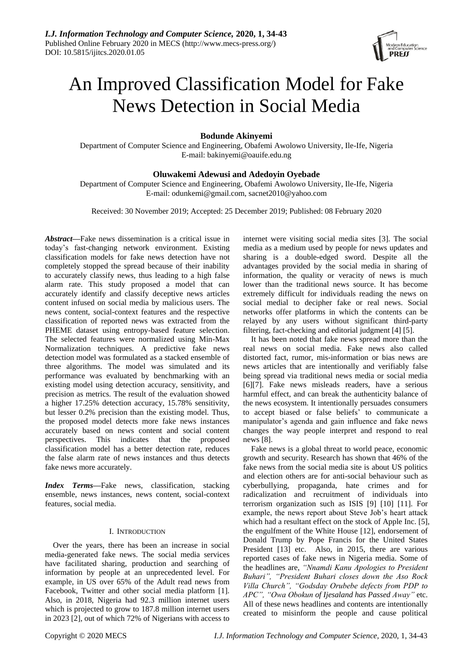

# An Improved Classification Model for Fake News Detection in Social Media

# **Bodunde Akinyemi**

Department of Computer Science and Engineering, Obafemi Awolowo University, Ile-Ife, Nigeria E-mail: bakinyemi@oauife.edu.ng

# **Oluwakemi Adewusi and Adedoyin Oyebade**

Department of Computer Science and Engineering, Obafemi Awolowo University, Ile-Ife, Nigeria E-mail: odunkemi@gmail.com, sacnet2010@yahoo.com

Received: 30 November 2019; Accepted: 25 December 2019; Published: 08 February 2020

*Abstract***—**Fake news dissemination is a critical issue in today's fast-changing network environment. Existing classification models for fake news detection have not completely stopped the spread because of their inability to accurately classify news, thus leading to a high false alarm rate. This study proposed a model that can accurately identify and classify deceptive news articles content infused on social media by malicious users. The news content, social-context features and the respective classification of reported news was extracted from the PHEME dataset using entropy-based feature selection. The selected features were normalized using Min-Max Normalization techniques. A predictive fake news detection model was formulated as a stacked ensemble of three algorithms. The model was simulated and its performance was evaluated by benchmarking with an existing model using detection accuracy, sensitivity, and precision as metrics. The result of the evaluation showed a higher 17.25% detection accuracy, 15.78% sensitivity, but lesser 0.2% precision than the existing model. Thus, the proposed model detects more fake news instances accurately based on news content and social content perspectives. This indicates that the proposed classification model has a better detection rate, reduces the false alarm rate of news instances and thus detects fake news more accurately.

*Index Terms***—**Fake news, classification, stacking ensemble, news instances, news content, social-context features, social media.

## I. INTRODUCTION

Over the years, there has been an increase in social media-generated fake news. The social media services have facilitated sharing, production and searching of information by people at an unprecedented level. For example, in US over 65% of the Adult read news from Facebook, Twitter and other social media platform [1]. Also, in 2018, Nigeria had 92.3 million internet users which is projected to grow to 187.8 million internet users in 2023 [2], out of which 72% of Nigerians with access to

internet were visiting social media sites [3]. The social media as a medium used by people for news updates and sharing is a double-edged sword. Despite all the advantages provided by the social media in sharing of information, the quality or veracity of news is much lower than the traditional news source. It has become extremely difficult for individuals reading the news on social medial to decipher fake or real news. Social networks offer platforms in which the contents can be relayed by any users without significant third-party filtering, fact-checking and editorial judgment [4] [5].

It has been noted that fake news spread more than the real news on social media. Fake news also called distorted fact, rumor, mis-information or bias news are news articles that are intentionally and verifiably false being spread via traditional news media or social media [6][7]. Fake news misleads readers, have a serious harmful effect, and can break the authenticity balance of the news ecosystem. It intentionally persuades consumers to accept biased or false beliefs' to communicate a manipulator's agenda and gain influence and fake news changes the way people interpret and respond to real news [8].

Fake news is a global threat to world peace, economic growth and security. Research has shown that 46% of the fake news from the social media site is about US politics and election others are for anti-social behaviour such as cyberbullying, propaganda, hate crimes and for radicalization and recruitment of individuals into terrorism organization such as ISIS [9] [10] [11]. For example, the news report about Steve Job's heart attack which had a resultant effect on the stock of Apple Inc. [5], the engulfment of the White House [12], endorsement of Donald Trump by Pope Francis for the United States President [13] etc. Also, in 2015, there are various reported cases of fake news in Nigeria media. Some of the headlines are, *"Nnamdi Kanu Apologies to President Buhari", "President Buhari closes down the Aso Rock Villa Church", "Godsday Orubebe defects from PDP to APC", "Owa Obokun of Ijesaland has Passed Away"* etc. All of these news headlines and contents are intentionally created to misinform the people and cause political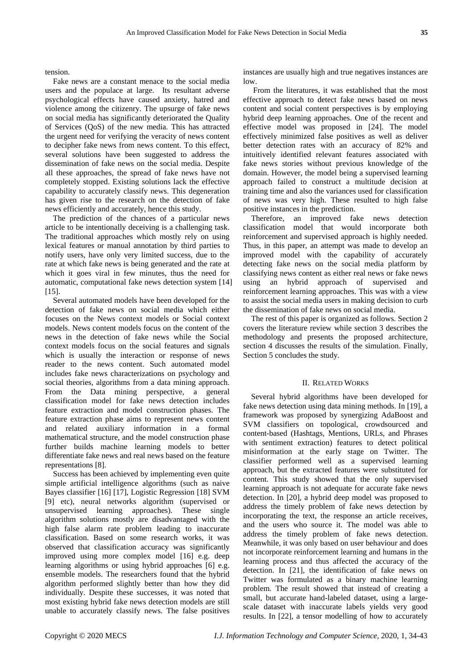tension.

Fake news are a constant menace to the social media users and the populace at large. Its resultant adverse psychological effects have caused anxiety, hatred and violence among the citizenry. The upsurge of fake news on social media has significantly deteriorated the Quality of Services (QoS) of the new media. This has attracted the urgent need for verifying the veracity of news content to decipher fake news from news content. To this effect, several solutions have been suggested to address the dissemination of fake news on the social media. Despite all these approaches, the spread of fake news have not completely stopped. Existing solutions lack the effective capability to accurately classify news. This degeneration has given rise to the research on the detection of fake news efficiently and accurately, hence this study.

The prediction of the chances of a particular news article to be intentionally deceiving is a challenging task. The traditional approaches which mostly rely on using lexical features or manual annotation by third parties to notify users, have only very limited success, due to the rate at which fake news is being generated and the rate at which it goes viral in few minutes, thus the need for automatic, computational fake news detection system [14] [15].

Several automated models have been developed for the detection of fake news on social media which either focuses on the News context models or Social context models. News content models focus on the content of the news in the detection of fake news while the Social context models focus on the social features and signals which is usually the interaction or response of news reader to the news content. Such automated model includes fake news characterizations on psychology and social theories, algorithms from a data mining approach. From the Data mining perspective, a general classification model for fake news detection includes feature extraction and model construction phases. The feature extraction phase aims to represent news content and related auxiliary information in a formal mathematical structure, and the model construction phase further builds machine learning models to better differentiate fake news and real news based on the feature representations [8].

Success has been achieved by implementing even quite simple artificial intelligence algorithms (such as naive Bayes classifier [16] [17], Logistic Regression [18] SVM [9] etc), neural networks algorithm (supervised or unsupervised learning approaches). These single algorithm solutions mostly are disadvantaged with the high false alarm rate problem leading to inaccurate classification. Based on some research works, it was observed that classification accuracy was significantly improved using more complex model [16] e.g. deep learning algorithms or using hybrid approaches [6] e.g. ensemble models. The researchers found that the hybrid algorithm performed slightly better than how they did individually. Despite these successes, it was noted that most existing hybrid fake news detection models are still unable to accurately classify news. The false positives

instances are usually high and true negatives instances are low.

From the literatures, it was established that the most effective approach to detect fake news based on news content and social content perspectives is by employing hybrid deep learning approaches. One of the recent and effective model was proposed in [24]. The model effectively minimized false positives as well as deliver better detection rates with an accuracy of 82% and intuitively identified relevant features associated with fake news stories without previous knowledge of the domain. However, the model being a supervised learning approach failed to construct a multitude decision at training time and also the variances used for classification of news was very high. These resulted to high false positive instances in the prediction.

Therefore, an improved fake news detection classification model that would incorporate both reinforcement and supervised approach is highly needed. Thus, in this paper, an attempt was made to develop an improved model with the capability of accurately detecting fake news on the social media platform by classifying news content as either real news or fake news using an hybrid approach of supervised and reinforcement learning approaches. This was with a view to assist the social media users in making decision to curb the dissemination of fake news on social media.

The rest of this paper is organized as follows. Section 2 covers the literature review while section 3 describes the methodology and presents the proposed architecture, section 4 discusses the results of the simulation. Finally, Section 5 concludes the study.

#### II. RELATED WORKS

Several hybrid algorithms have been developed for fake news detection using data mining methods. In [19], a framework was proposed by synergizing AdaBoost and SVM classifiers on topological, crowdsourced and content-based (Hashtags, Mentions, URLs, and Phrases with sentiment extraction) features to detect political misinformation at the early stage on Twitter. The classifier performed well as a supervised learning approach, but the extracted features were substituted for content. This study showed that the only supervised learning approach is not adequate for accurate fake news detection. In [20], a hybrid deep model was proposed to address the timely problem of fake news detection by incorporating the text, the response an article receives, and the users who source it. The model was able to address the timely problem of fake news detection. Meanwhile, it was only based on user behaviour and does not incorporate reinforcement learning and humans in the learning process and thus affected the accuracy of the detection. In [21], the identification of fake news on Twitter was formulated as a binary machine learning problem. The result showed that instead of creating a small, but accurate hand-labeled dataset, using a largescale dataset with inaccurate labels yields very good results. In [22], a tensor modelling of how to accurately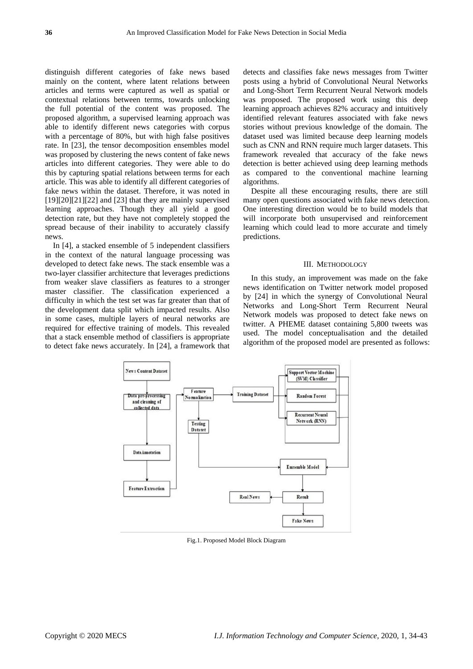distinguish different categories of fake news based mainly on the content, where latent relations between articles and terms were captured as well as spatial or contextual relations between terms, towards unlocking the full potential of the content was proposed. The proposed algorithm, a supervised learning approach was able to identify different news categories with corpus with a percentage of 80%, but with high false positives rate. In [23], the tensor decomposition ensembles model was proposed by clustering the news content of fake news articles into different categories. They were able to do this by capturing spatial relations between terms for each article. This was able to identify all different categories of fake news within the dataset. Therefore, it was noted in  $[19][20][21][22]$  and  $[23]$  that they are mainly supervised learning approaches. Though they all yield a good detection rate, but they have not completely stopped the spread because of their inability to accurately classify news.

In [4], a stacked ensemble of 5 independent classifiers in the context of the natural language processing was developed to detect fake news. The stack ensemble was a two-layer classifier architecture that leverages predictions from weaker slave classifiers as features to a stronger master classifier. The classification experienced a difficulty in which the test set was far greater than that of the development data split which impacted results. Also in some cases, multiple layers of neural networks are required for effective training of models. This revealed that a stack ensemble method of classifiers is appropriate to detect fake news accurately. In [24], a framework that detects and classifies fake news messages from Twitter posts using a hybrid of Convolutional Neural Networks and Long-Short Term Recurrent Neural Network models was proposed. The proposed work using this deep learning approach achieves 82% accuracy and intuitively identified relevant features associated with fake news stories without previous knowledge of the domain. The dataset used was limited because deep learning models such as CNN and RNN require much larger datasets. This framework revealed that accuracy of the fake news detection is better achieved using deep learning methods as compared to the conventional machine learning algorithms.

Despite all these encouraging results, there are still many open questions associated with fake news detection. One interesting direction would be to build models that will incorporate both unsupervised and reinforcement learning which could lead to more accurate and timely predictions.

#### III. METHODOLOGY

In this study, an improvement was made on the fake news identification on Twitter network model proposed by [24] in which the synergy of Convolutional Neural Networks and Long-Short Term Recurrent Neural Network models was proposed to detect fake news on twitter. A PHEME dataset containing 5,800 tweets was used. The model conceptualisation and the detailed algorithm of the proposed model are presented as follows:



Fig.1. Proposed Model Block Diagram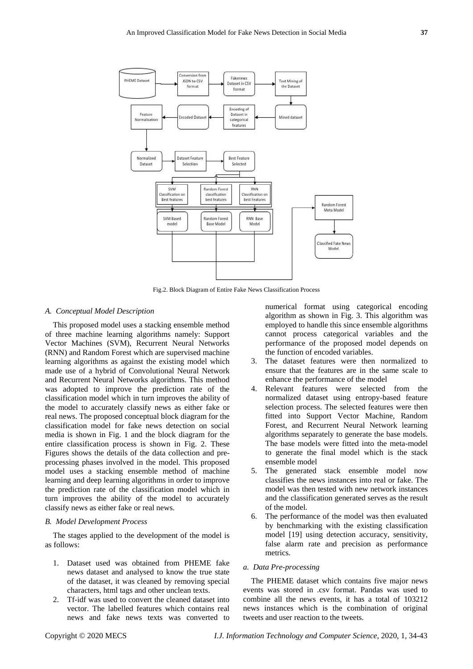

Fig.2. Block Diagram of Entire Fake News Classification Process

#### *A. Conceptual Model Description*

This proposed model uses a stacking ensemble method of three machine learning algorithms namely: Support Vector Machines (SVM), Recurrent Neural Networks (RNN) and Random Forest which are supervised machine learning algorithms as against the existing model which made use of a hybrid of Convolutional Neural Network and Recurrent Neural Networks algorithms. This method was adopted to improve the prediction rate of the classification model which in turn improves the ability of the model to accurately classify news as either fake or real news. The proposed conceptual block diagram for the classification model for fake news detection on social media is shown in Fig. 1 and the block diagram for the entire classification process is shown in Fig. 2. These Figures shows the details of the data collection and preprocessing phases involved in the model. This proposed model uses a stacking ensemble method of machine learning and deep learning algorithms in order to improve the prediction rate of the classification model which in turn improves the ability of the model to accurately classify news as either fake or real news.

#### *B. Model Development Process*

The stages applied to the development of the model is as follows:

- 1. Dataset used was obtained from PHEME fake news dataset and analysed to know the true state of the dataset, it was cleaned by removing special characters, html tags and other unclean texts.
- 2. Tf-idf was used to convert the cleaned dataset into vector. The labelled features which contains real news and fake news texts was converted to

numerical format using categorical encoding algorithm as shown in Fig. 3. This algorithm was employed to handle this since ensemble algorithms cannot process categorical variables and the performance of the proposed model depends on the function of encoded variables.

- 3. The dataset features were then normalized to ensure that the features are in the same scale to enhance the performance of the model
- 4. Relevant features were selected from the normalized dataset using entropy-based feature selection process. The selected features were then fitted into Support Vector Machine, Random Forest, and Recurrent Neural Network learning algorithms separately to generate the base models. The base models were fitted into the meta-model to generate the final model which is the stack ensemble model
- 5. The generated stack ensemble model now classifies the news instances into real or fake. The model was then tested with new network instances and the classification generated serves as the result of the model.
- 6. The performance of the model was then evaluated by benchmarking with the existing classification model [19] using detection accuracy, sensitivity, false alarm rate and precision as performance metrics.

## *a. Data Pre-processing*

The PHEME dataset which contains five major news events was stored in .csv format. Pandas was used to combine all the news events, it has a total of 103212 news instances which is the combination of original tweets and user reaction to the tweets.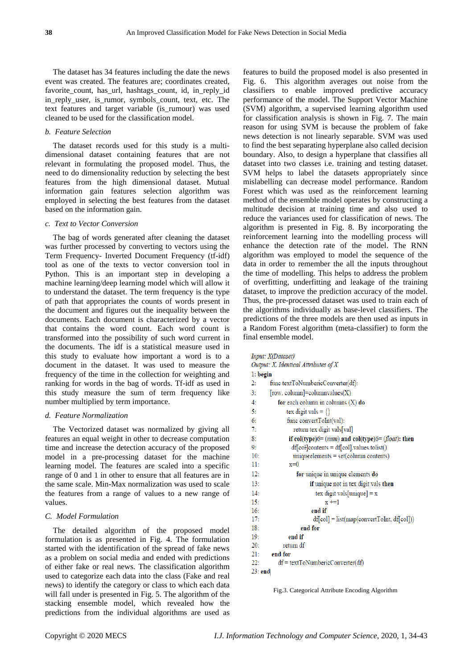The dataset has 34 features including the date the news event was created. The features are; coordinates created, favorite\_count, has\_url, hashtags\_count, id, in\_reply\_id in\_reply\_user, is\_rumor, symbols\_count, text, etc. The text features and target variable (is\_rumour) was used cleaned to be used for the classification model.

# *b. Feature Selection*

The dataset records used for this study is a multidimensional dataset containing features that are not relevant in formulating the proposed model. Thus, the need to do dimensionality reduction by selecting the best features from the high dimensional dataset. Mutual information gain features selection algorithm was employed in selecting the best features from the dataset based on the information gain.

#### *c. Text to Vector Conversion*

The bag of words generated after cleaning the dataset was further processed by converting to vectors using the Term Frequency- Inverted Document Frequency (tf-idf) tool as one of the texts to vector conversion tool in Python. This is an important step in developing a machine learning/deep learning model which will allow it to understand the dataset. The term frequency is the type of path that appropriates the counts of words present in the document and figures out the inequality between the documents. Each document is characterized by a vector that contains the word count. Each word count is transformed into the possibility of such word current in the documents. The idf is a statistical measure used in this study to evaluate how important a word is to a document in the dataset. It was used to measure the frequency of the time in the collection for weighting and ranking for words in the bag of words. Tf-idf as used in this study measure the sum of term frequency like number multiplied by term importance.

## *d. Feature Normalization*

The Vectorized dataset was normalized by giving all features an equal weight in other to decrease computation time and increase the detection accuracy of the proposed model in a pre-processing dataset for the machine learning model. The features are scaled into a specific range of 0 and 1 in other to ensure that all features are in the same scale. Min-Max normalization was used to scale the features from a range of values to a new range of values.

#### *C. Model Formulation*

The detailed algorithm of the proposed model formulation is as presented in Fig. 4. The formulation started with the identification of the spread of fake news as a problem on social media and ended with predictions of either fake or real news. The classification algorithm used to categorize each data into the class (Fake and real news) to identify the category or class to which each data will fall under is presented in Fig. 5. The algorithm of the stacking ensemble model, which revealed how the predictions from the individual algorithms are used as

features to build the proposed model is also presented in Fig. 6. This algorithm averages out noise from the classifiers to enable improved predictive accuracy performance of the model. The Support Vector Machine (SVM) algorithm, a supervised learning algorithm used for classification analysis is shown in Fig. 7. The main reason for using SVM is because the problem of fake news detection is not linearly separable. SVM was used to find the best separating hyperplane also called decision boundary. Also, to design a hyperplane that classifies all dataset into two classes i.e. training and testing dataset. SVM helps to label the datasets appropriately since mislabelling can decrease model performance. Random Forest which was used as the reinforcement learning method of the ensemble model operates by constructing a multitude decision at training time and also used to reduce the variances used for classification of news. The algorithm is presented in Fig. 8. By incorporating the reinforcement learning into the modelling process will enhance the detection rate of the model. The RNN algorithm was employed to model the sequence of the data in order to remember the all the inputs throughout the time of modelling. This helps to address the problem of overfitting, underfitting and leakage of the training dataset, to improve the prediction accuracy of the model. Thus, the pre-processed dataset was used to train each of the algorithms individually as base-level classifiers. The predictions of the three models are then used as inputs in a Random Forest algorithm (meta-classifier) to form the final ensemble model.

| Input: X(Dataset)                                                 |
|-------------------------------------------------------------------|
| Output: X, Identical Attributes of X                              |
| $1:$ begin                                                        |
| func textToNumbericConverter(df):<br>2:                           |
| $[row, column] = column values(X)$<br>3:                          |
| for each column in columns $(X)$ do<br>4:                         |
| tex digit vals = $\{\}$<br>5:                                     |
| 6:<br>func convertToInt(val):                                     |
| 7:<br>return tex digit vals[val]                                  |
| if col(type) $6 = (num)$ and col(type) $6 = (float)$ : then<br>8: |
| $df[cofloontents = df[cofl.values.tolist()$<br>9:                 |
| 10:<br>$uniqueelements = set(column contents)$                    |
| 11:<br>$x=0$                                                      |
| 12:<br>for unique in unique elements do                           |
| 13:<br>if unique not in tex digit vals then                       |
| tex digit vals[unique] = $x$<br>14:                               |
| 15:<br>$x + 1$                                                    |
| 16:<br>end if                                                     |
| 17:<br>$df[col] = list(mapconvertToInt, df[col])$                 |
| end for<br>18:                                                    |
| end if<br>19:                                                     |
| return df<br>20:                                                  |
| end for<br>21:                                                    |
| $df = textToNumbericConverter(df)$<br>22:                         |
| 23: end                                                           |

Fig.3. Categorical Attribute Encoding Algorithm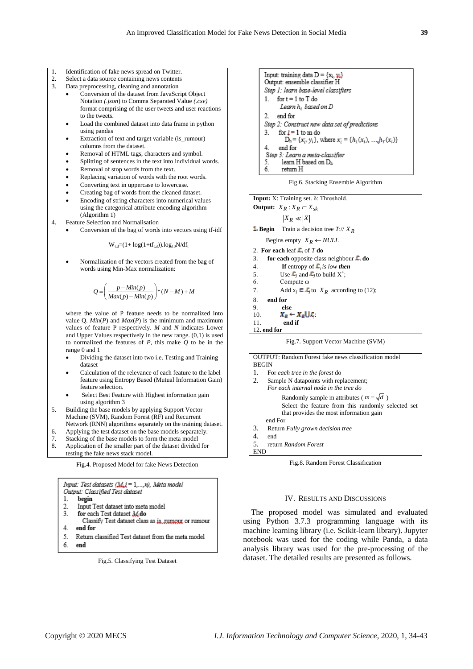- 1. Identification of fake news spread on Twitter.
- 2. Select a data source containing news contents<br>3. Data preprocessing cleaning and annotation
- 3. Data preprocessing, cleaning and annotation
	- Conversion of the dataset from JavaScript Object Notation *(.json*) to Comma Separated Value *(.csv)* format comprising of the user tweets and user reactions to the tweets.
	- Load the combined dataset into data frame in python using pandas
	- Extraction of text and target variable (is rumour)
	- columns from the dataset. Removal of HTML tags, characters and symbol.
	- Splitting of sentences in the text into individual words.
	- Removal of stop words from the text.
	- Replacing variation of words with the root words.
	- Converting text in uppercase to lowercase.
	- Creating bag of words from the cleaned dataset.
	- Encoding of string characters into numerical values using the categorical attribute encoding algorithm (Algorithm 1)

4. Feature Selection and Normalisation

Conversion of the bag of words into vectors using tf-idf

 $W_{t,d} = (1 + log(1 + tf_{t,d}))$ .log<sub>10</sub>N/df<sub>t</sub>

 Normalization of the vectors created from the bag of words using Min-Max normalization:

$$
Q = \left(\frac{p - Min(p)}{Max(p) - Min(p)}\right) * (N - M) + M
$$

where the value of P feature needs to be normalized into value Q.  $Min(P)$  and  $Max(P)$  is the minimum and maximum values of feature P respectively. *M* and *N* indicates Lower and Upper Values respectively in the new range. (0*,*1) is used to normalized the features of *P*, this make *Q* to be in the range 0 and 1

- Dividing the dataset into two i.e. Testing and Training dataset
- Calculation of the relevance of each feature to the label feature using Entropy Based (Mutual Information Gain) feature selection.
- Select Best Feature with Highest information gain using algorithm 3
- 5. Building the base models by applying Support Vector Machine (SVM), Random Forest (RF) and Recurrent Network (RNN) algorithms separately on the training dataset.
- 6. Applying the test dataset on the base models separately.
- 7. Stacking of the base models to form the meta model<br>8. Application of the smaller part of the dataset divided
- 8. Application of the smaller part of the dataset divided for testing the fake news stack model.

Fig.4. Proposed Model for fake News Detection

```
Input: Test datasets (M.j = 1,...,n), Meta model
Output: Classified Test dataset
     begin
1.
     Input Test dataset into meta model
\mathcal{L}3.
     for each Test dataset M.do
       Classify Test dataset class as is numour or rumour
4
     end for
5. Return classified Test dataset from the meta model
6.
    end
             Fig.5. Classifying Test Dataset
```


Fig.6. Stacking Ensemble Algorithm

```
Input: X: Training set. δ: Threshold.
Output: X_R : X_R \subset X_{sk}|X_R| \ll |X|Begin Train a decision tree T://
XR
Begins empty X_R \leftarrow NULL2. For each leaf \mathcal{L}_i of T do
3. for each opposite class neighbour \mathcal{L}_i do
4. If entropy of \mathcal{L}_i is low then
5. Use \mathcal{L}_j and \mathcal{L}_j to build X^+;
6. Compute ω
7. Add x_j \in \mathcal{L}_j to X_R according to (12);
8. end for
9. else
10. X_p \leftarrow X_p \cup \mathcal{L}11. end if
```

```
12. end for
```
Fig.7. Support Vector Machine (SVM)

| OUTPUT: Random Forest fake news classification model |  |  |  |
|------------------------------------------------------|--|--|--|
| <b>BEGIN</b>                                         |  |  |  |
| 1.<br>For each tree in the forest do                 |  |  |  |
| 2.<br>Sample N datapoints with replacement;          |  |  |  |
| For each internal node in the tree do                |  |  |  |
| Randomly sample m attributes ( $m = \sqrt{d}$ )      |  |  |  |
| Select the feature from this randomly selected set   |  |  |  |
| that provides the most information gain              |  |  |  |
| end For                                              |  |  |  |
| 3.<br>Return Fully grown decision tree               |  |  |  |
| 4.<br>end                                            |  |  |  |
| 5.<br>return Random Forest                           |  |  |  |
|                                                      |  |  |  |

Fig.8. Random Forest Classification

#### IV. RESULTS AND DISCUSSIONS

The proposed model was simulated and evaluated using Python 3.7.3 programming language with its machine learning library (i.e. Scikit-learn library). Jupyter notebook was used for the coding while Panda, a data analysis library was used for the pre-processing of the dataset. The detailed results are presented as follows.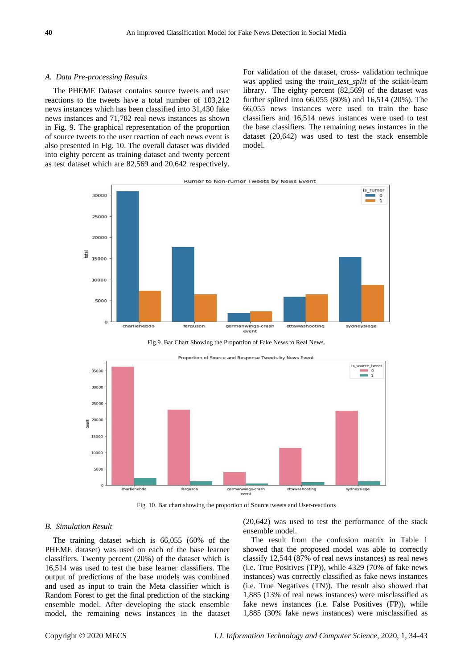#### *A. Data Pre-processing Results*

The PHEME Dataset contains source tweets and user reactions to the tweets have a total number of 103,212 news instances which has been classified into 31,430 fake news instances and 71,782 real news instances as shown in Fig. 9. The graphical representation of the proportion of source tweets to the user reaction of each news event is also presented in Fig. 10. The overall dataset was divided into eighty percent as training dataset and twenty percent as test dataset which are 82,569 and 20,642 respectively.

For validation of the dataset, cross- validation technique was applied using the *train\_test\_split* of the scikit-learn library. The eighty percent (82,569) of the dataset was further splited into 66,055 (80%) and 16,514 (20%). The 66,055 news instances were used to train the base classifiers and 16,514 news instances were used to test the base classifiers. The remaining news instances in the dataset (20,642) was used to test the stack ensemble model.



Fig.9. Bar Chart Showing the Proportion of Fake News to Real News.





## *B. Simulation Result*

The training dataset which is 66,055 (60% of the PHEME dataset) was used on each of the base learner classifiers. Twenty percent (20%) of the dataset which is 16,514 was used to test the base learner classifiers. The output of predictions of the base models was combined and used as input to train the Meta classifier which is Random Forest to get the final prediction of the stacking ensemble model. After developing the stack ensemble model, the remaining news instances in the dataset (20,642) was used to test the performance of the stack ensemble model.

The result from the confusion matrix in Table 1 showed that the proposed model was able to correctly classify 12,544 (87% of real news instances) as real news (i.e. True Positives (TP)), while 4329 (70% of fake news instances) was correctly classified as fake news instances (i.e. True Negatives (TN)). The result also showed that 1,885 (13% of real news instances) were misclassified as fake news instances (i.e. False Positives (FP)), while 1,885 (30% fake news instances) were misclassified as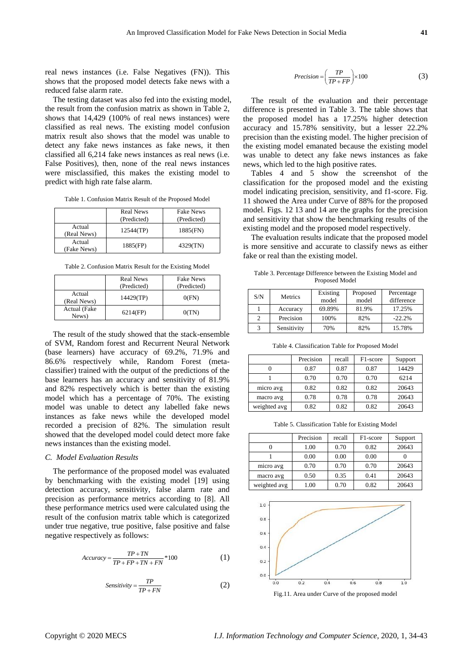real news instances (i.e. False Negatives (FN)). This shows that the proposed model detects fake news with a reduced false alarm rate.

The testing dataset was also fed into the existing model, the result from the confusion matrix as shown in Table 2, shows that 14,429 (100% of real news instances) were classified as real news. The existing model confusion matrix result also shows that the model was unable to detect any fake news instances as fake news, it then classified all 6,214 fake news instances as real news (i.e. False Positives), then, none of the real news instances were misclassified, this makes the existing model to predict with high rate false alarm.

| Table 1. Confusion Matrix Result of the Proposed Model |
|--------------------------------------------------------|
|--------------------------------------------------------|

|                       | <b>Real News</b><br>(Predicted) | <b>Fake News</b><br>(Predicted) |
|-----------------------|---------------------------------|---------------------------------|
| Actual<br>(Real News) | 12544(TP)                       | 1885(FN)                        |
| Actual<br>(Fake News) | 1885(FP)                        | 4329(TN)                        |

Table 2. Confusion Matrix Result for the Existing Model

|                       | <b>Real News</b><br>(Predicted) | <b>Fake News</b><br>(Predicted) |
|-----------------------|---------------------------------|---------------------------------|
| Actual<br>(Real News) | 14429(TP)                       | 0(FN)                           |
| Actual (Fake<br>News) | 6214(FP)                        | 0(TN)                           |

The result of the study showed that the stack-ensemble of SVM, Random forest and Recurrent Neural Network (base learners) have accuracy of 69.2%, 71.9% and 86.6% respectively while, Random Forest (metaclassifier) trained with the output of the predictions of the base learners has an accuracy and sensitivity of 81.9% and 82% respectively which is better than the existing model which has a percentage of 70%. The existing model was unable to detect any labelled fake news instances as fake news while the developed model recorded a precision of 82%. The simulation result showed that the developed model could detect more fake news instances than the existing model.

#### *C. Model Evaluation Results*

The performance of the proposed model was evaluated by benchmarking with the existing model [19] using detection accuracy, sensitivity, false alarm rate and precision as performance metrics according to [8]. All these performance metrics used were calculated using the result of the confusion matrix table which is categorized under true negative, true positive, false positive and false negative respectively as follows:

$$
Accuracy = \frac{TP + TN}{TP + FP + TN + FN} * 100
$$
 (1)

$$
Sensitivity = \frac{TP}{TP + FN}
$$
 (2)

$$
Precision = \left(\frac{TP}{TP + FP}\right) \times 100\tag{3}
$$

The result of the evaluation and their percentage difference is presented in Table 3. The table shows that the proposed model has a 17.25% higher detection accuracy and 15.78% sensitivity, but a lesser 22.2% precision than the existing model. The higher precision of the existing model emanated because the existing model was unable to detect any fake news instances as fake news, which led to the high positive rates.

Tables 4 and 5 show the screenshot of the classification for the proposed model and the existing model indicating precision, sensitivity, and f1-score. Fig. 11 showed the Area under Curve of 88% for the proposed model. Figs. 12 13 and 14 are the graphs for the precision and sensitivity that show the benchmarking results of the existing model and the proposed model respectively.

The evaluation results indicate that the proposed model is more sensitive and accurate to classify news as either fake or real than the existing model.

Table 3. Percentage Difference between the Existing Model and Proposed Model

| S/N           | Metrics     | Existing<br>model | Proposed<br>model | Percentage<br>difference |
|---------------|-------------|-------------------|-------------------|--------------------------|
|               | Accuracy    | 69.89%            | 81.9%             | 17.25%                   |
| $\mathcal{D}$ | Precision   | 100%              | 82%               | $-22.2%$                 |
| 2             | Sensitivity | 70%               | 82%               | 15.78%                   |

Table 4. Classification Table for Proposed Model

|              | Precision | recall | F <sub>1</sub> -score | Support |
|--------------|-----------|--------|-----------------------|---------|
|              | 0.87      | 0.87   | 0.87                  | 14429   |
|              | 0.70      | 0.70   | 0.70                  | 6214    |
| micro avg    | 0.82      | 0.82   | 0.82                  | 20643   |
| macro avg    | 0.78      | 0.78   | 0.78                  | 20643   |
| weighted avg | 0.82      | 0.82   | 0.82                  | 20643   |

Table 5. Classification Table for Existing Model

|              | Precision | recall | F <sub>1</sub> -score | Support |
|--------------|-----------|--------|-----------------------|---------|
|              | 1.00      | 0.70   | 0.82                  | 20643   |
|              | 0.00      | 0.00   | 0.00                  |         |
| micro avg    | 0.70      | 0.70   | 0.70                  | 20643   |
| macro avg    | 0.50      | 0.35   | 0.41                  | 20643   |
| weighted avg | 1.00      | 0.70   | 0.82                  | 20643   |



Fig.11. Area under Curve of the proposed model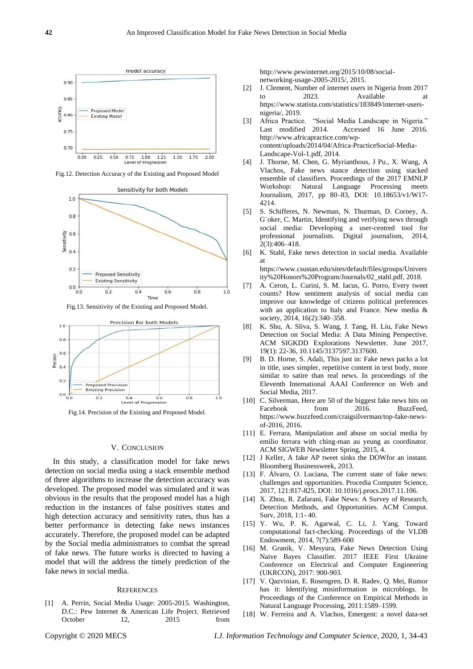

Fig.12. Detection Accuracy of the Existing and Proposed Model



Fig.13. Sensitivity of the Existing and Proposed Model.



Fig.14. Precision of the Existing and Proposed Model.

#### V. CONCLUSION

In this study, a classification model for fake news detection on social media using a stack ensemble method of three algorithms to increase the detection accuracy was developed. The proposed model was simulated and it was obvious in the results that the proposed model has a high reduction in the instances of false positives states and high detection accuracy and sensitivity rates, thus has a better performance in detecting fake news instances accurately. Therefore, the proposed model can be adapted by the Social media administrators to combat the spread of fake news. The future works is directed to having a model that will the address the timely prediction of the fake news in social media.

#### **REFERENCES**

[1] A. Perrin, Social Media Usage: 2005-2015. Washington, D.C.: Pew Internet & American Life Project. Retrieved October 12, 2015 from

http://www.pewinternet.org/2015/10/08/socialnetworking-usage-2005-2015/, 2015.

- [2] J. Clement, Number of internet users in Nigeria from 2017 to 2023. Available at https://www.statista.com/statistics/183849/internet-usersnigeria/, 2019.
- [3] Africa Practice. "Social Media Landscape in Nigeria." Last modified 2014. Accessed 16 June 2016. http://www.africapractice.com/wpcontent/uploads/2014/04/Africa-PracticeSocial-Media-Landscape-Vol-1.pdf, 2014.
- [4] J. Thorne, M. Chen, G. Myrianthous, J Pu., X. Wang, A Vlachos, Fake news stance detection using stacked ensemble of classifiers. Proceedings of the 2017 EMNLP Workshop: Natural Language Processing meets Journalism, 2017, pp 80–83, DOI: 10.18653/v1/W17- 4214.
- [5] S. Schifferes, N. Newman, N. Thurman, D. Corney, A. G¨oker, C. Martin, Identifying and verifying news through social media: Developing a user-centred tool for professional journalists. Digital journalism, 2014, 2(3):406–418.
- [6] K. Stahl, Fake news detection in social media. Available at

https://www.csustan.edu/sites/default/files/groups/Univers ity%20Honors%20Program/Journals/02\_stahl.pdf, 2018.

- [7] A. Ceron, L. Curini, S. M. Iacus, G. Porro, Every tweet counts? How sentiment analysis of social media can improve our knowledge of citizens political preferences with an application to Italy and France. New media & society, 2014, 16(2):340-358.
- [8] K. Shu, A. Sliva, S. Wang, J. Tang, H. Liu, Fake News Detection on Social Media: A Data Mining Perspective. ACM SIGKDD Explorations Newsletter. June 2017, 19(1): 22-36, 10.1145/3137597.3137600.
- [9] B. D. Horne, S. Adali, This just in: Fake news packs a lot in title, uses simpler, repetitive content in text body, more similar to satire than real news. In proceedings of the Eleventh International AAAI Conference on Web and Social Media, 2017.
- [10] C. Silverman, Here are 50 of the biggest fake news hits on Facebook from 2016. BuzzFeed, https://www.buzzfeed.com/craigsilverman/top-fake-newsof-2016, 2016.
- [11] E. Ferrara, Manipulation and abuse on social media by emilio ferrara with ching-man au yeung as coordinator. ACM SIGWEB Newsletter Spring, 2015, 4.
- [12] J Keller, A fake AP tweet sinks the DOWfor an instant. Bloomberg Businessweek, 2013.
- [13] F. Álvaro, O. Luciana, The current state of fake news: challenges and opportunities. Procedia Computer Science, 2017, 121:817-825, DOI: 10.1016/j.procs.2017.11.106.
- [14] X. Zhou, R. Zafarani, Fake News: A Survey of Research, Detection Methods, and Opportunities. ACM Comput. Surv, 2018, 1:1- 40.
- [15] Y. Wu, P. K. Agarwal, C. Li, J. Yang. Toward computational fact-checking. Proceedings of the VLDB Endowment, 2014, 7(7):589-600
- [16] M. Granik, V. Mesyura, Fake News Detection Using Naive Bayes Classifier. 2017 IEEE First Ukraine Conference on Electrical and Computer Engineering (UKRCON), 2017: 900-903.
- [17] V. Qazvinian, E. Rosengren, D. R. Radev, Q. Mei, Rumor has it: Identifying misinformation in microblogs. In Proceedings of the Conference on Empirical Methods in Natural Language Processing, 2011:1589–1599.
- [18] W. Ferreira and A. Vlachos, Emergent: a novel data-set